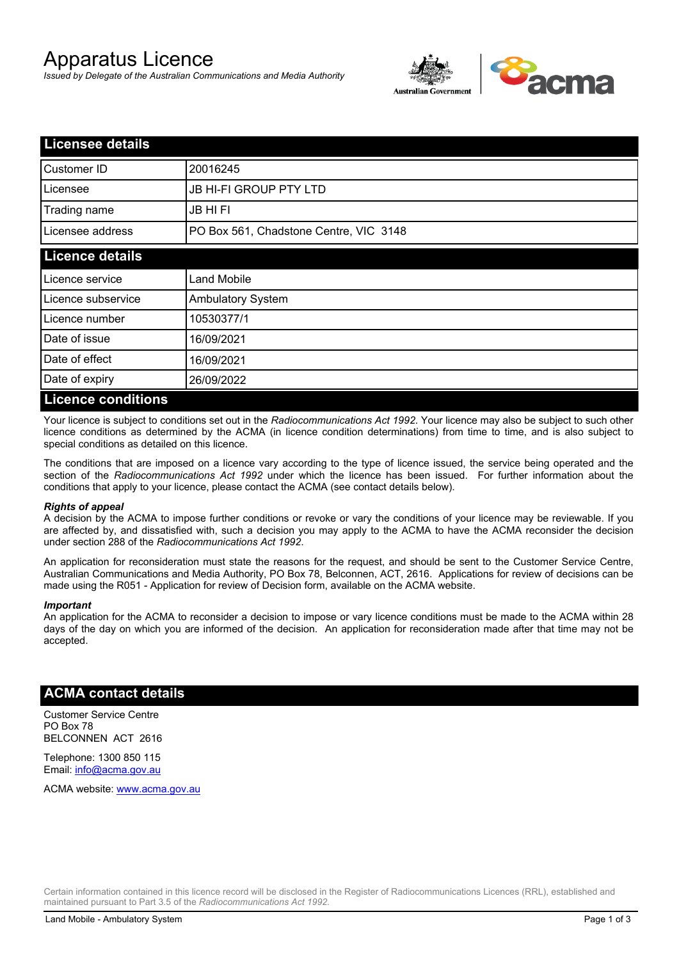# Apparatus Licence

*Issued by Delegate of the Australian Communications and Media Authority*



| <b>Licensee details</b>   |                                        |  |
|---------------------------|----------------------------------------|--|
| Customer ID               | 20016245                               |  |
| Licensee                  | <b>JB HI-FI GROUP PTY LTD</b>          |  |
| Trading name              | <b>JB HIFI</b>                         |  |
| Licensee address          | PO Box 561, Chadstone Centre, VIC 3148 |  |
| <b>Licence details</b>    |                                        |  |
| Licence service           | <b>Land Mobile</b>                     |  |
| Licence subservice        | <b>Ambulatory System</b>               |  |
| Licence number            | 10530377/1                             |  |
| Date of issue             | 16/09/2021                             |  |
| Date of effect            | 16/09/2021                             |  |
| Date of expiry            | 26/09/2022                             |  |
| <b>Licence conditions</b> |                                        |  |

Your licence is subject to conditions set out in the *Radiocommunications Act 1992*. Your licence may also be subject to such other licence conditions as determined by the ACMA (in licence condition determinations) from time to time, and is also subject to special conditions as detailed on this licence.

The conditions that are imposed on a licence vary according to the type of licence issued, the service being operated and the section of the *Radiocommunications Act 1992* under which the licence has been issued. For further information about the conditions that apply to your licence, please contact the ACMA (see contact details below).

### *Rights of appeal*

A decision by the ACMA to impose further conditions or revoke or vary the conditions of your licence may be reviewable. If you are affected by, and dissatisfied with, such a decision you may apply to the ACMA to have the ACMA reconsider the decision under section 288 of the *Radiocommunications Act 1992*.

An application for reconsideration must state the reasons for the request, and should be sent to the Customer Service Centre, Australian Communications and Media Authority, PO Box 78, Belconnen, ACT, 2616. Applications for review of decisions can be made using the R051 - Application for review of Decision form, available on the ACMA website.

#### *Important*

An application for the ACMA to reconsider a decision to impose or vary licence conditions must be made to the ACMA within 28 days of the day on which you are informed of the decision. An application for reconsideration made after that time may not be accepted.

### **ACMA contact details**

Customer Service Centre PO Box 78 BELCONNEN ACT 2616

Telephone: 1300 850 115 Email: info@acma.gov.au

ACMA website: www.acma.gov.au

Certain information contained in this licence record will be disclosed in the Register of Radiocommunications Licences (RRL), established and maintained pursuant to Part 3.5 of the *Radiocommunications Act 1992.*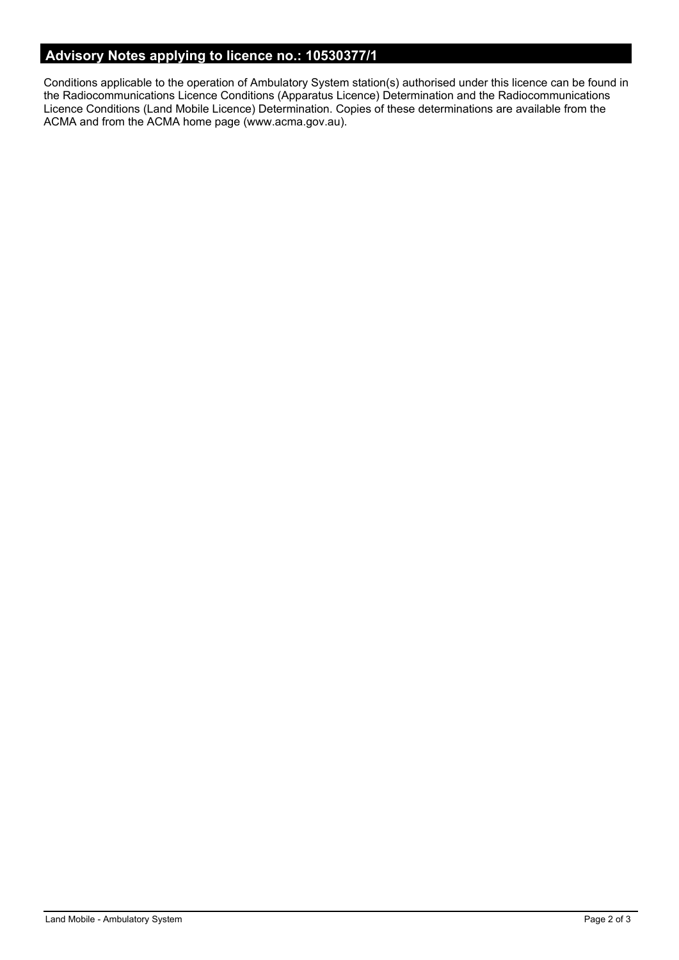# **Advisory Notes applying to licence no.: 10530377/1**

Conditions applicable to the operation of Ambulatory System station(s) authorised under this licence can be found in the Radiocommunications Licence Conditions (Apparatus Licence) Determination and the Radiocommunications Licence Conditions (Land Mobile Licence) Determination. Copies of these determinations are available from the ACMA and from the ACMA home page (www.acma.gov.au).